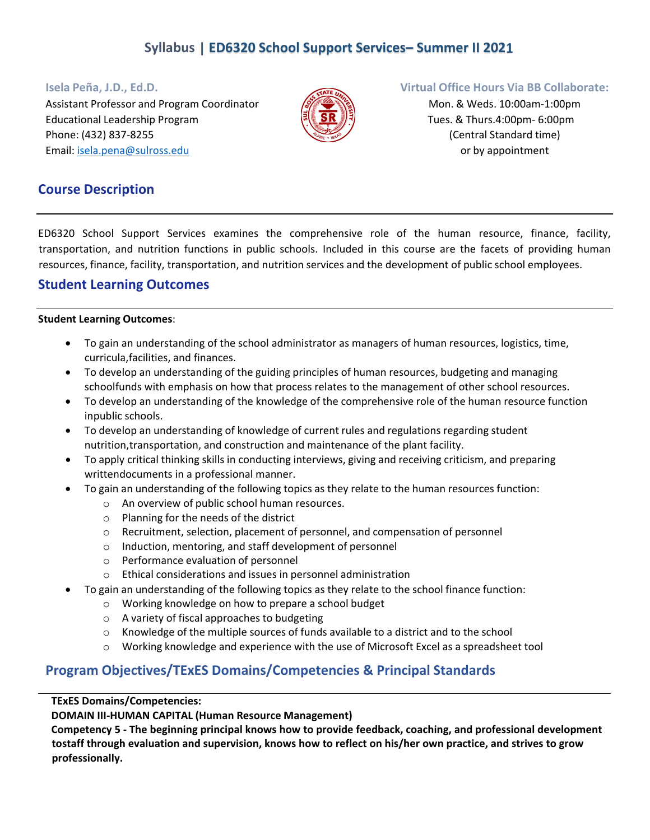# **Syllabus | ED6320 School Support Services– Summer II 2021**

Assistant Professor and Program Coordinator Mone Assistant Professor and Program Coordinator Mone Assistant Mon. & Weds. 10:00am-1:00pm Educational Leadership Program  $\mathbb{R} \setminus \mathbb{R} \setminus \mathbb{R}$  Tres. & Thurs.4:00pm- 6:00pm Phone: (432) 837‐8255 (Central Standard time) Email: isela.pena@sulross.edu **or by appointment** 



#### **Isela Peña, J.D., Ed.D. Virtual Office Hours Via BB Collaborate:**

## **Course Description**

ED6320 School Support Services examines the comprehensive role of the human resource, finance, facility, transportation, and nutrition functions in public schools. Included in this course are the facets of providing human resources, finance, facility, transportation, and nutrition services and the development of public school employees.

## **Student Learning Outcomes**

#### **Student Learning Outcomes**:

- To gain an understanding of the school administrator as managers of human resources, logistics, time, curricula,facilities, and finances.
- To develop an understanding of the guiding principles of human resources, budgeting and managing schoolfunds with emphasis on how that process relates to the management of other school resources.
- To develop an understanding of the knowledge of the comprehensive role of the human resource function inpublic schools.
- To develop an understanding of knowledge of current rules and regulations regarding student nutrition,transportation, and construction and maintenance of the plant facility.
- To apply critical thinking skills in conducting interviews, giving and receiving criticism, and preparing writtendocuments in a professional manner.
- To gain an understanding of the following topics as they relate to the human resources function:
	- o An overview of public school human resources.
		- o Planning for the needs of the district
		- o Recruitment, selection, placement of personnel, and compensation of personnel
		- o Induction, mentoring, and staff development of personnel
		- o Performance evaluation of personnel
	- o Ethical considerations and issues in personnel administration
- To gain an understanding of the following topics as they relate to the school finance function:
	- o Working knowledge on how to prepare a school budget
	- o A variety of fiscal approaches to budgeting
	- o Knowledge of the multiple sources of funds available to a district and to the school
	- o Working knowledge and experience with the use of Microsoft Excel as a spreadsheet tool

## **Program Objectives/TExES Domains/Competencies & Principal Standards**

#### **TExES Domains/Competencies:**

**DOMAIN III‐HUMAN CAPITAL (Human Resource Management)**

**Competency 5 ‐ The beginning principal knows how to provide feedback, coaching, and professional development** tostaff through evaluation and supervision, knows how to reflect on his/her own practice, and strives to grow **professionally.**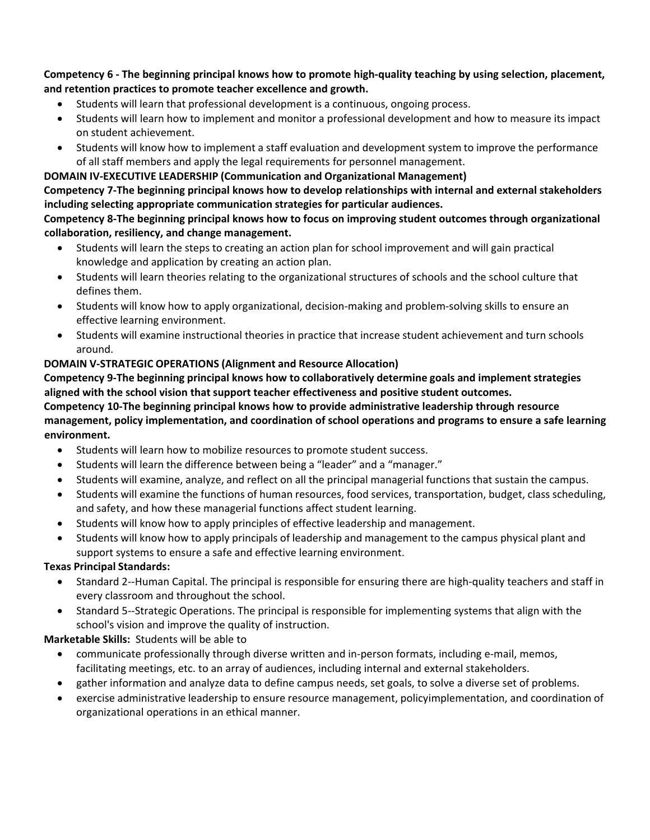Competency 6 - The beginning principal knows how to promote high-quality teaching by using selection, placement, **and retention practices to promote teacher excellence and growth.**

- Students will learn that professional development is a continuous, ongoing process.
- Students will learn how to implement and monitor a professional development and how to measure its impact on student achievement.
- Students will know how to implement a staff evaluation and development system to improve the performance of all staff members and apply the legal requirements for personnel management.

### **DOMAIN IV‐EXECUTIVE LEADERSHIP (Communication and Organizational Management)**

**Competency 7‐The beginning principal knows how to develop relationships with internal and external stakeholders including selecting appropriate communication strategies for particular audiences.**

#### **Competency 8‐The beginning principal knows how to focus on improving student outcomes through organizational collaboration, resiliency, and change management.**

- Students will learn the steps to creating an action plan for school improvement and will gain practical knowledge and application by creating an action plan.
- Students will learn theories relating to the organizational structures of schools and the school culture that defines them.
- Students will know how to apply organizational, decision-making and problem-solving skills to ensure an effective learning environment.
- Students will examine instructional theories in practice that increase student achievement and turn schools around.

### **DOMAIN V‐STRATEGIC OPERATIONS (Alignment and Resource Allocation)**

**Competency 9‐The beginning principal knows how to collaboratively determine goals and implement strategies aligned with the school vision that support teacher effectiveness and positive student outcomes. Competency 10‐The beginning principal knows how to provide administrative leadership through resource management, policy implementation, and coordination of school operations and programs to ensure a safe learning environment.**

- Students will learn how to mobilize resources to promote student success.
- Students will learn the difference between being a "leader" and a "manager."
- Students will examine, analyze, and reflect on all the principal managerial functions that sustain the campus.
- Students will examine the functions of human resources, food services, transportation, budget, class scheduling, and safety, and how these managerial functions affect student learning.
- Students will know how to apply principles of effective leadership and management.
- Students will know how to apply principals of leadership and management to the campus physical plant and support systems to ensure a safe and effective learning environment.

## **Texas Principal Standards:**

- Standard 2‐‐Human Capital. The principal is responsible for ensuring there are high‐quality teachers and staff in every classroom and throughout the school.
- Standard 5‐‐Strategic Operations. The principal is responsible for implementing systems that align with the school's vision and improve the quality of instruction.

## **Marketable Skills:** Students will be able to

- communicate professionally through diverse written and in‐person formats, including e‐mail, memos, facilitating meetings, etc. to an array of audiences, including internal and external stakeholders.
- gather information and analyze data to define campus needs, set goals, to solve a diverse set of problems.
- exercise administrative leadership to ensure resource management, policyimplementation, and coordination of organizational operations in an ethical manner.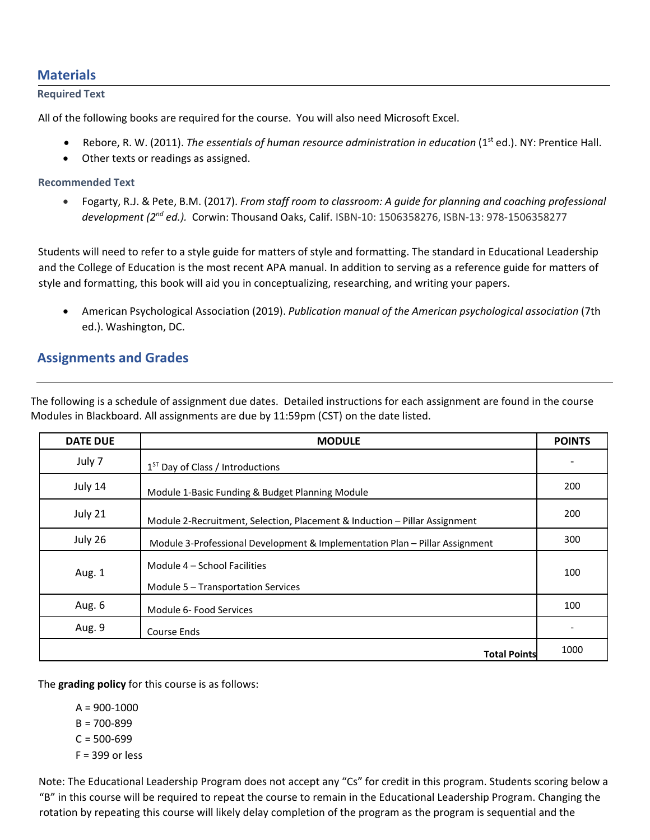## **Materials**

#### **Required Text**

All of the following books are required for the course. You will also need Microsoft Excel.

- Rebore, R. W. (2011). *The essentials of human resource administration in education* (1st ed.). NY: Prentice Hall.
- Other texts or readings as assigned.

#### **Recommended Text**

 Fogarty, R.J. & Pete, B.M. (2017). *From staff room to classroom: A guide for planning and coaching professional development (2nd ed.).* Corwin: Thousand Oaks, Calif. ISBN‐10: 1506358276, ISBN‐13: 978‐1506358277

Students will need to refer to a style guide for matters of style and formatting. The standard in Educational Leadership and the College of Education is the most recent APA manual. In addition to serving as a reference guide for matters of style and formatting, this book will aid you in conceptualizing, researching, and writing your papers.

 American Psychological Association (2019). *Publication manual of the American psychological association* (7th ed.). Washington, DC.

# **Assignments and Grades**

The following is a schedule of assignment due dates. Detailed instructions for each assignment are found in the course Modules in Blackboard. All assignments are due by 11:59pm (CST) on the date listed.

| <b>DATE DUE</b> | <b>MODULE</b>                                                               | <b>POINTS</b> |
|-----------------|-----------------------------------------------------------------------------|---------------|
| July 7          | 1 <sup>ST</sup> Day of Class / Introductions                                |               |
| July 14         | Module 1-Basic Funding & Budget Planning Module                             | 200           |
| July 21         | Module 2-Recruitment, Selection, Placement & Induction - Pillar Assignment  | 200           |
| July 26         | Module 3-Professional Development & Implementation Plan - Pillar Assignment | 300           |
| Aug. 1          | Module 4 - School Facilities<br>Module 5 - Transportation Services          | 100           |
| Aug. 6          | Module 6- Food Services                                                     | 100           |
| Aug. 9          | Course Ends                                                                 |               |
|                 | <b>Total Points</b>                                                         | 1000          |

The **grading policy** for this course is as follows:

 $A = 900 - 1000$  $B = 700 - 899$  $C = 500 - 699$  $F = 399$  or less

Note: The Educational Leadership Program does not accept any "Cs" for credit in this program. Students scoring below a "B" in this course will be required to repeat the course to remain in the Educational Leadership Program. Changing the rotation by repeating this course will likely delay completion of the program as the program is sequential and the